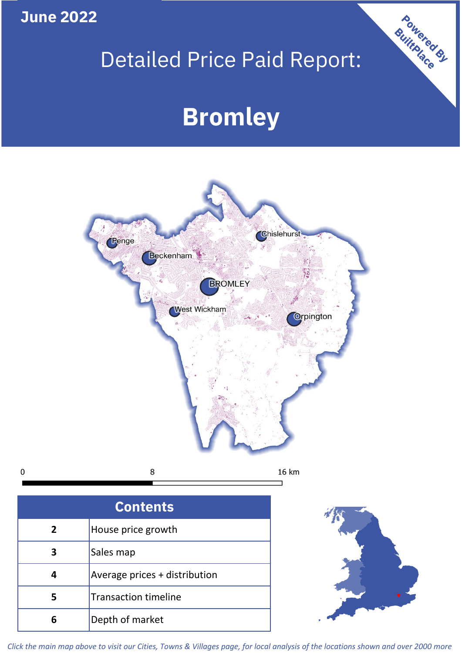**June 2022**

 $\mathbf 0$ 

# Detailed Price Paid Report:

# **Bromley**



| <b>Contents</b> |                               |  |  |
|-----------------|-------------------------------|--|--|
| $\overline{2}$  | House price growth            |  |  |
|                 | Sales map                     |  |  |
|                 | Average prices + distribution |  |  |
| 5               | <b>Transaction timeline</b>   |  |  |
|                 | Depth of market               |  |  |



Powered By

*Click the main map above to visit our Cities, Towns & Villages page, for local analysis of the locations shown and over 2000 more*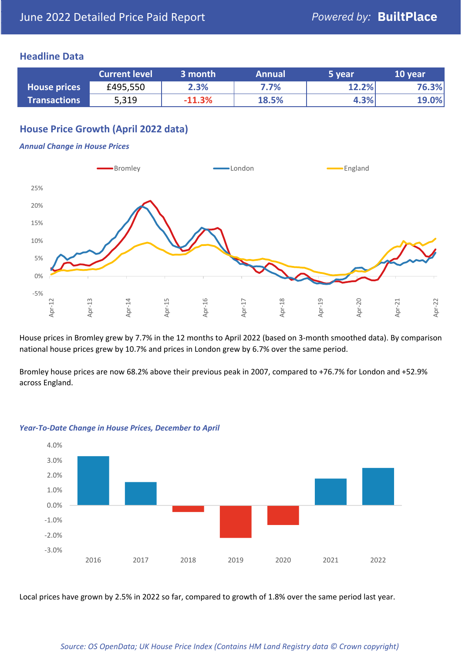#### **Headline Data**

|                     | <b>Current level</b> | 3 month  | <b>Annual</b> | '5 vear | 10 year |
|---------------------|----------------------|----------|---------------|---------|---------|
| <b>House prices</b> | £495,550             | 2.3%     | $7.7\%$       | 12.2%   | 76.3%   |
| <b>Transactions</b> | 5,319                | $-11.3%$ | 18.5%         | 4.3%    | 19.0%   |

#### **House Price Growth (April 2022 data)**

#### *Annual Change in House Prices*



House prices in Bromley grew by 7.7% in the 12 months to April 2022 (based on 3-month smoothed data). By comparison national house prices grew by 10.7% and prices in London grew by 6.7% over the same period.

Bromley house prices are now 68.2% above their previous peak in 2007, compared to +76.7% for London and +52.9% across England.



#### *Year-To-Date Change in House Prices, December to April*

Local prices have grown by 2.5% in 2022 so far, compared to growth of 1.8% over the same period last year.

#### *Source: OS OpenData; UK House Price Index (Contains HM Land Registry data © Crown copyright)*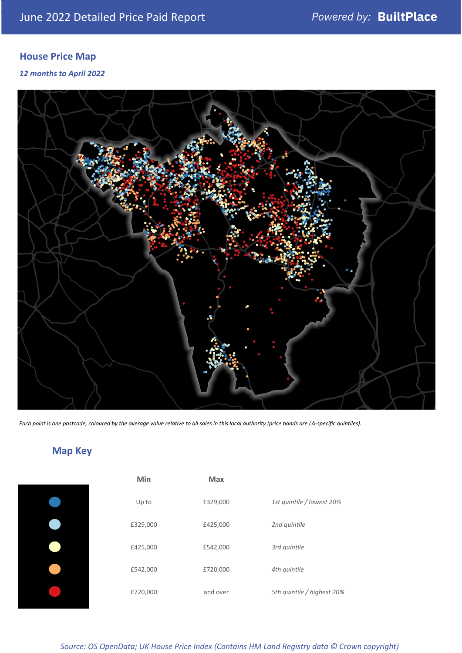### **House Price Map**

*12 months to April 2022*



*Each point is one postcode, coloured by the average value relative to all sales in this local authority (price bands are LA-specific quintiles).*

## **Map Key**

| Min      | Max      |                            |
|----------|----------|----------------------------|
| Up to    | £329,000 | 1st quintile / lowest 20%  |
| £329,000 | £425,000 | 2nd quintile               |
| £425,000 | £542,000 | 3rd quintile               |
| £542,000 | £720,000 | 4th quintile               |
| £720,000 | and over | 5th quintile / highest 20% |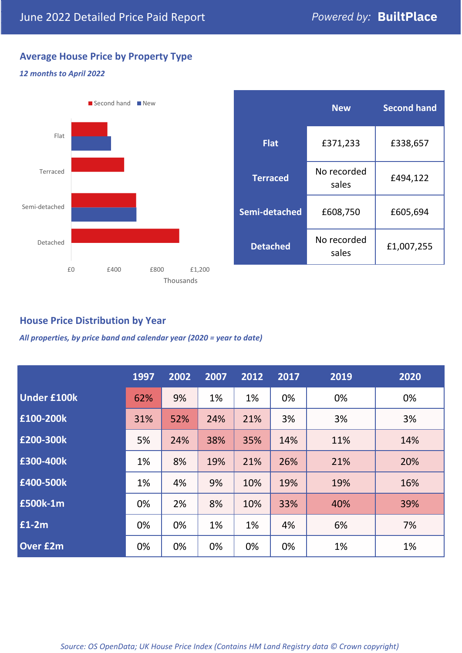### **Average House Price by Property Type**

#### *12 months to April 2022*



|                 | <b>New</b>           | <b>Second hand</b> |  |  |
|-----------------|----------------------|--------------------|--|--|
| <b>Flat</b>     | £371,233             | £338,657           |  |  |
| <b>Terraced</b> | No recorded<br>sales | £494,122           |  |  |
| Semi-detached   | £608,750             | £605,694           |  |  |
| <b>Detached</b> | No recorded<br>sales | £1,007,255         |  |  |

#### **House Price Distribution by Year**

*All properties, by price band and calendar year (2020 = year to date)*

|                    | 1997 | 2002 | 2007 | 2012 | 2017 | 2019 | 2020 |
|--------------------|------|------|------|------|------|------|------|
| <b>Under £100k</b> | 62%  | 9%   | 1%   | 1%   | 0%   | 0%   | 0%   |
| £100-200k          | 31%  | 52%  | 24%  | 21%  | 3%   | 3%   | 3%   |
| E200-300k          | 5%   | 24%  | 38%  | 35%  | 14%  | 11%  | 14%  |
| £300-400k          | 1%   | 8%   | 19%  | 21%  | 26%  | 21%  | 20%  |
| £400-500k          | 1%   | 4%   | 9%   | 10%  | 19%  | 19%  | 16%  |
| <b>£500k-1m</b>    | 0%   | 2%   | 8%   | 10%  | 33%  | 40%  | 39%  |
| £1-2m              | 0%   | 0%   | 1%   | 1%   | 4%   | 6%   | 7%   |
| <b>Over £2m</b>    | 0%   | 0%   | 0%   | 0%   | 0%   | 1%   | 1%   |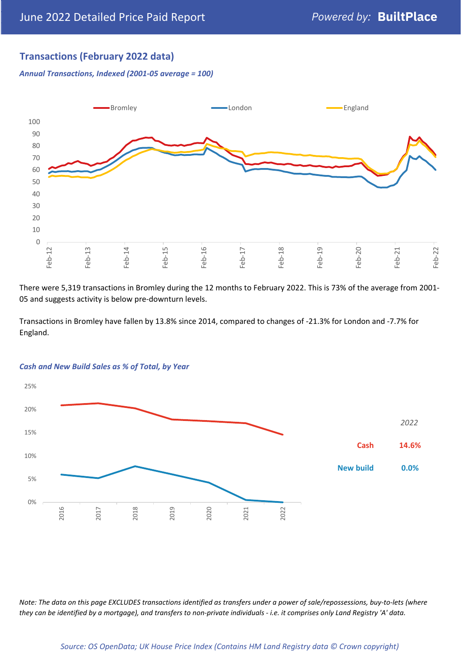#### **Transactions (February 2022 data)**

*Annual Transactions, Indexed (2001-05 average = 100)*



There were 5,319 transactions in Bromley during the 12 months to February 2022. This is 73% of the average from 2001- 05 and suggests activity is below pre-downturn levels.

Transactions in Bromley have fallen by 13.8% since 2014, compared to changes of -21.3% for London and -7.7% for England.



#### *Cash and New Build Sales as % of Total, by Year*

*Note: The data on this page EXCLUDES transactions identified as transfers under a power of sale/repossessions, buy-to-lets (where they can be identified by a mortgage), and transfers to non-private individuals - i.e. it comprises only Land Registry 'A' data.*